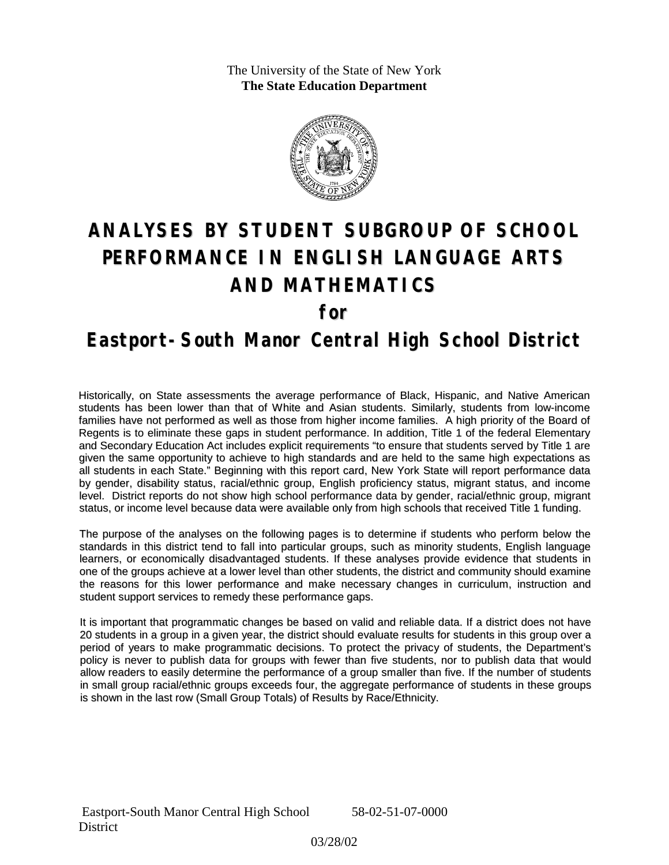The University of the State of New York **The State Education Department**



# **ANALYSES BY STUDENT SUBGROUP OF SCHOOL PERFORMANCE IN ENGLISH LANGUAGE ARTS AND MATHEMATICS**

**for**

### **Eastport-South Manor Central High School District**

Historically, on State assessments the average performance of Black, Hispanic, and Native American students has been lower than that of White and Asian students. Similarly, students from low-income families have not performed as well as those from higher income families. A high priority of the Board of Regents is to eliminate these gaps in student performance. In addition, Title 1 of the federal Elementary and Secondary Education Act includes explicit requirements "to ensure that students served by Title 1 are given the same opportunity to achieve to high standards and are held to the same high expectations as all students in each State." Beginning with this report card, New York State will report performance data by gender, disability status, racial/ethnic group, English proficiency status, migrant status, and income level. District reports do not show high school performance data by gender, racial/ethnic group, migrant status, or income level because data were available only from high schools that received Title 1 funding.

The purpose of the analyses on the following pages is to determine if students who perform below the standards in this district tend to fall into particular groups, such as minority students, English language learners, or economically disadvantaged students. If these analyses provide evidence that students in one of the groups achieve at a lower level than other students, the district and community should examine the reasons for this lower performance and make necessary changes in curriculum, instruction and student support services to remedy these performance gaps.

It is important that programmatic changes be based on valid and reliable data. If a district does not have 20 students in a group in a given year, the district should evaluate results for students in this group over a period of years to make programmatic decisions. To protect the privacy of students, the Department's policy is never to publish data for groups with fewer than five students, nor to publish data that would allow readers to easily determine the performance of a group smaller than five. If the number of students in small group racial/ethnic groups exceeds four, the aggregate performance of students in these groups is shown in the last row (Small Group Totals) of Results by Race/Ethnicity.

 Eastport-South Manor Central High School 58-02-51-07-0000 **District** 

03/28/02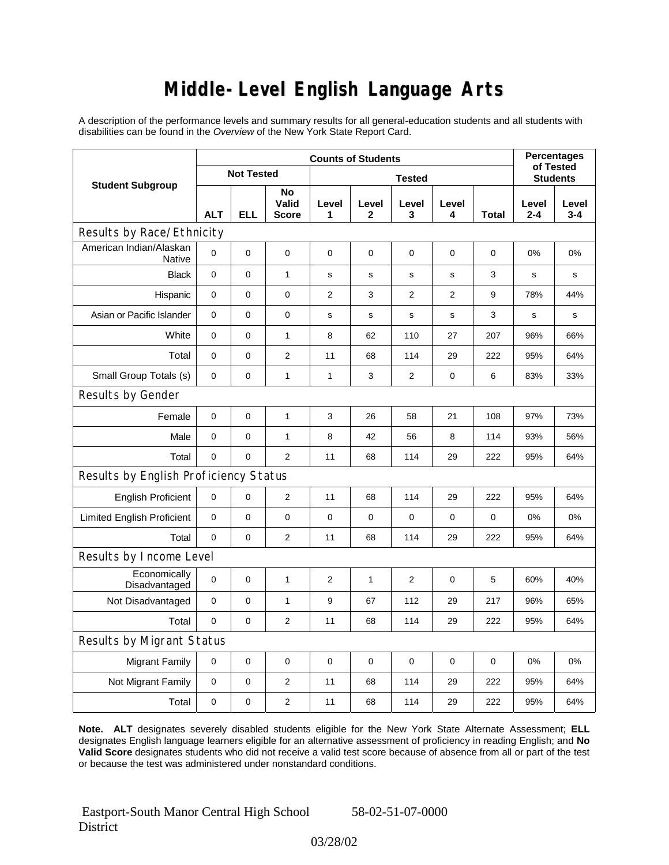### **Middle-Level English Language Arts**

A description of the performance levels and summary results for all general-education students and all students with disabilities can be found in the *Overview* of the New York State Report Card.

|                                          | <b>Counts of Students</b> |            |                             |                |             |                |                | <b>Percentages</b><br>of Tested |                  |                  |  |
|------------------------------------------|---------------------------|------------|-----------------------------|----------------|-------------|----------------|----------------|---------------------------------|------------------|------------------|--|
| <b>Student Subgroup</b>                  | <b>Not Tested</b>         |            |                             | <b>Tested</b>  |             |                |                |                                 | <b>Students</b>  |                  |  |
|                                          | <b>ALT</b>                | <b>ELL</b> | No<br>Valid<br><b>Score</b> | Level<br>1     | Level<br>2  | Level<br>3     | Level<br>4     | Total                           | Level<br>$2 - 4$ | Level<br>$3 - 4$ |  |
| Results by Race/Ethnicity                |                           |            |                             |                |             |                |                |                                 |                  |                  |  |
| American Indian/Alaskan<br><b>Native</b> | $\overline{0}$            | 0          | $\pmb{0}$                   | $\mathbf 0$    | 0           | $\mathbf 0$    | 0              | 0                               | 0%               | 0%               |  |
| <b>Black</b>                             | 0                         | 0          | $\mathbf{1}$                | $\mathbf s$    | $\mathbf s$ | s              | s              | 3                               | S                | s                |  |
| Hispanic                                 | 0                         | 0          | 0                           | 2              | 3           | $\overline{2}$ | $\overline{2}$ | 9                               | 78%              | 44%              |  |
| Asian or Pacific Islander                | 0                         | 0          | $\pmb{0}$                   | s              | $\mathbf s$ | $\mathbf s$    | s              | 3                               | s                | s                |  |
| White                                    | 0                         | 0          | $\mathbf{1}$                | 8              | 62          | 110            | 27             | 207                             | 96%              | 66%              |  |
| Total                                    | 0                         | $\pmb{0}$  | $\overline{2}$              | 11             | 68          | 114            | 29             | 222                             | 95%              | 64%              |  |
| Small Group Totals (s)                   | 0                         | 0          | $\mathbf{1}$                | $\mathbf{1}$   | 3           | 2              | $\pmb{0}$      | 6                               | 83%              | 33%              |  |
| Results by Gender                        |                           |            |                             |                |             |                |                |                                 |                  |                  |  |
| Female                                   | 0                         | 0          | $\mathbf{1}$                | 3              | 26          | 58             | 21             | 108                             | 97%              | 73%              |  |
| Male                                     | $\mathbf 0$               | 0          | $\mathbf{1}$                | 8              | 42          | 56             | 8              | 114                             | 93%              | 56%              |  |
| Total                                    | 0                         | 0          | $\overline{2}$              | 11             | 68          | 114            | 29             | 222                             | 95%              | 64%              |  |
| Results by English Proficiency Status    |                           |            |                             |                |             |                |                |                                 |                  |                  |  |
| <b>English Proficient</b>                | 0                         | 0          | $\overline{2}$              | 11             | 68          | 114            | 29             | 222                             | 95%              | 64%              |  |
| <b>Limited English Proficient</b>        | 0                         | 0          | 0                           | $\mathbf 0$    | $\mathbf 0$ | 0              | 0              | 0                               | 0%               | 0%               |  |
| Total                                    | $\mathbf 0$               | 0          | $\overline{2}$              | 11             | 68          | 114            | 29             | 222                             | 95%              | 64%              |  |
| Results by Income Level                  |                           |            |                             |                |             |                |                |                                 |                  |                  |  |
| Economically<br>Disadvantaged            | $\mathbf 0$               | 0          | 1                           | $\overline{2}$ | 1           | $\overline{2}$ | 0              | 5                               | 60%              | 40%              |  |
| Not Disadvantaged                        | $\mathbf 0$               | 0          | $\mathbf{1}$                | 9              | 67          | 112            | 29             | 217                             | 96%              | 65%              |  |
| Total                                    | 0                         | $\pmb{0}$  | $\mathbf{2}$                | 11             | 68          | 114            | 29             | 222                             | 95%              | 64%              |  |
| Results by Migrant Status                |                           |            |                             |                |             |                |                |                                 |                  |                  |  |
| <b>Migrant Family</b>                    | 0                         | 0          | $\mathbf 0$                 | $\mathbf 0$    | $\mathbf 0$ | $\mathbf 0$    | 0              | 0                               | 0%               | 0%               |  |
| Not Migrant Family                       | 0                         | $\pmb{0}$  | 2                           | 11             | 68          | 114            | 29             | 222                             | 95%              | 64%              |  |
| Total                                    | 0                         | 0          | $\overline{2}$              | 11             | 68          | 114            | 29             | 222                             | 95%              | 64%              |  |

**Note. ALT** designates severely disabled students eligible for the New York State Alternate Assessment; **ELL** designates English language learners eligible for an alternative assessment of proficiency in reading English; and **No Valid Score** designates students who did not receive a valid test score because of absence from all or part of the test or because the test was administered under nonstandard conditions.

 Eastport-South Manor Central High School **District** 

58-02-51-07-0000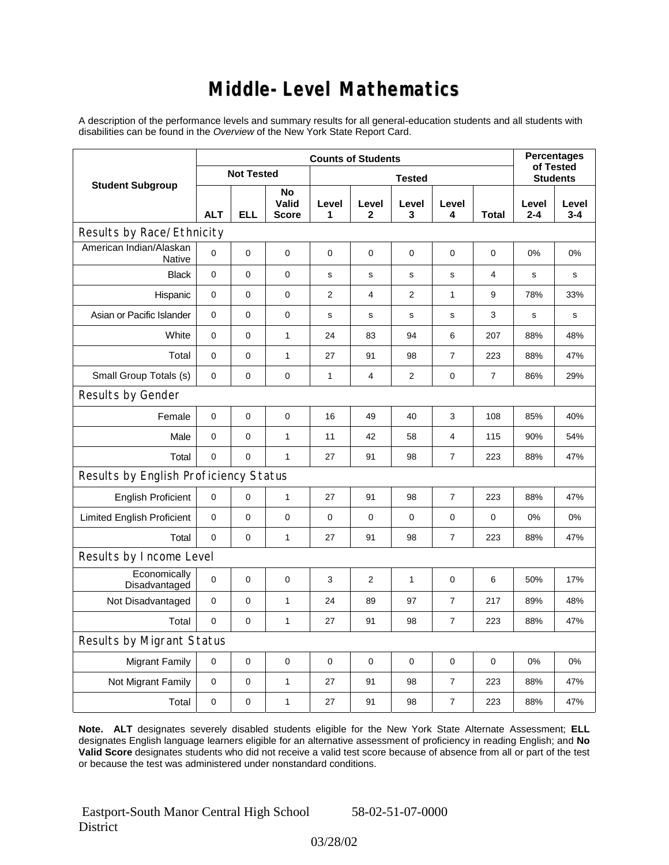### **Middle-Level Mathematics**

A description of the performance levels and summary results for all general-education students and all students with disabilities can be found in the *Overview* of the New York State Report Card.

|                                       | <b>Counts of Students</b> |             |                             |                |                |                |                  | <b>Percentages</b><br>of Tested |                  |                  |  |
|---------------------------------------|---------------------------|-------------|-----------------------------|----------------|----------------|----------------|------------------|---------------------------------|------------------|------------------|--|
| <b>Student Subgroup</b>               | <b>Not Tested</b>         |             |                             | <b>Tested</b>  |                |                |                  |                                 | <b>Students</b>  |                  |  |
|                                       | <b>ALT</b>                | <b>ELL</b>  | No<br>Valid<br><b>Score</b> | Level<br>1     | Level<br>2     | Level<br>3     | Level<br>4       | <b>Total</b>                    | Level<br>$2 - 4$ | Level<br>$3 - 4$ |  |
| Results by Race/Ethnicity             |                           |             |                             |                |                |                |                  |                                 |                  |                  |  |
| American Indian/Alaskan<br>Native     | $\Omega$                  | $\mathbf 0$ | $\pmb{0}$                   | 0              | 0              | 0              | 0                | 0                               | 0%               | 0%               |  |
| <b>Black</b>                          | 0                         | 0           | 0                           | $\mathbf s$    | $\mathsf{s}$   | $\mathbf s$    | s                | 4                               | s                | s                |  |
| Hispanic                              | 0                         | 0           | $\pmb{0}$                   | $\overline{2}$ | 4              | $\overline{2}$ | 1                | 9                               | 78%              | 33%              |  |
| Asian or Pacific Islander             | 0                         | $\mathbf 0$ | $\pmb{0}$                   | s              | $\mathbf S$    | s              | s                | 3                               | s                | s                |  |
| White                                 | 0                         | 0           | $\mathbf{1}$                | 24             | 83             | 94             | 6                | 207                             | 88%              | 48%              |  |
| Total                                 | 0                         | $\mathsf 0$ | $\mathbf{1}$                | 27             | 91             | 98             | $\boldsymbol{7}$ | 223                             | 88%              | 47%              |  |
| Small Group Totals (s)                | $\mathbf 0$               | 0           | $\pmb{0}$                   | 1              | $\overline{4}$ | 2              | 0                | $\overline{7}$                  | 86%              | 29%              |  |
| Results by Gender                     |                           |             |                             |                |                |                |                  |                                 |                  |                  |  |
| Female                                | 0                         | 0           | $\pmb{0}$                   | 16             | 49             | 40             | 3                | 108                             | 85%              | 40%              |  |
| Male                                  | 0                         | $\mathbf 0$ | $\mathbf{1}$                | 11             | 42             | 58             | 4                | 115                             | 90%              | 54%              |  |
| Total                                 | 0                         | 0           | $\mathbf{1}$                | 27             | 91             | 98             | $\overline{7}$   | 223                             | 88%              | 47%              |  |
| Results by English Proficiency Status |                           |             |                             |                |                |                |                  |                                 |                  |                  |  |
| <b>English Proficient</b>             | $\mathbf 0$               | $\mathbf 0$ | $\mathbf{1}$                | 27             | 91             | 98             | $\boldsymbol{7}$ | 223                             | 88%              | 47%              |  |
| <b>Limited English Proficient</b>     | 0                         | 0           | $\pmb{0}$                   | 0              | $\mathbf 0$    | 0              | 0                | $\mathbf 0$                     | 0%               | 0%               |  |
| Total                                 | 0                         | $\mathbf 0$ | $\mathbf{1}$                | 27             | 91             | 98             | $\overline{7}$   | 223                             | 88%              | 47%              |  |
| Results by Income Level               |                           |             |                             |                |                |                |                  |                                 |                  |                  |  |
| Economically<br>Disadvantaged         | $\mathbf 0$               | 0           | $\mathbf 0$                 | 3              | $\overline{2}$ | $\mathbf{1}$   | $\mathbf 0$      | 6                               | 50%              | 17%              |  |
| Not Disadvantaged                     | $\mathbf 0$               | 0           | $\mathbf{1}$                | 24             | 89             | 97             | $\overline{7}$   | 217                             | 89%              | 48%              |  |
| Total                                 | $\mathbf 0$               | $\mathbf 0$ | $\mathbf{1}$                | 27             | 91             | 98             | 7                | 223                             | 88%              | 47%              |  |
| Results by Migrant Status             |                           |             |                             |                |                |                |                  |                                 |                  |                  |  |
| <b>Migrant Family</b>                 | 0                         | 0           | $\pmb{0}$                   | $\mathbf 0$    | $\mathbf 0$    | 0              | $\mathbf 0$      | $\mathbf 0$                     | 0%               | 0%               |  |
| Not Migrant Family                    | $\mathbf 0$               | $\mathbf 0$ | $\mathbf{1}$                | 27             | 91             | 98             | $\overline{7}$   | 223                             | 88%              | 47%              |  |
| Total                                 | 0                         | 0           | $\mathbf{1}$                | 27             | 91             | 98             | $\overline{7}$   | 223                             | 88%              | 47%              |  |

**Note. ALT** designates severely disabled students eligible for the New York State Alternate Assessment; **ELL** designates English language learners eligible for an alternative assessment of proficiency in reading English; and **No Valid Score** designates students who did not receive a valid test score because of absence from all or part of the test or because the test was administered under nonstandard conditions.

 Eastport-South Manor Central High School **District** 

03/28/02

58-02-51-07-0000